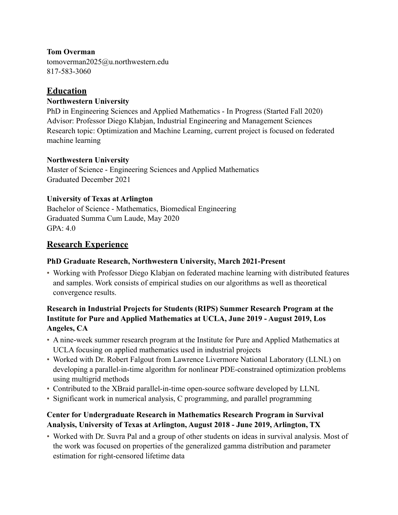### **Tom Overman**

tomoverman2025@u.northwestern.edu 817-583-3060

### **Education**

### **Northwestern University**

PhD in Engineering Sciences and Applied Mathematics - In Progress (Started Fall 2020) Advisor: Professor Diego Klabjan, Industrial Engineering and Management Sciences Research topic: Optimization and Machine Learning, current project is focused on federated machine learning

### **Northwestern University**

Master of Science - Engineering Sciences and Applied Mathematics Graduated December 2021

### **University of Texas at Arlington**

Bachelor of Science - Mathematics, Biomedical Engineering Graduated Summa Cum Laude, May 2020  $GPA.40$ 

# **Research Experience**

### **PhD Graduate Research, Northwestern University, March 2021-Present**

• Working with Professor Diego Klabjan on federated machine learning with distributed features and samples. Work consists of empirical studies on our algorithms as well as theoretical convergence results.

### **Research in Industrial Projects for Students (RIPS) Summer Research Program at the Institute for Pure and Applied Mathematics at UCLA, June 2019 - August 2019, Los Angeles, CA**

- A nine-week summer research program at the Institute for Pure and Applied Mathematics at UCLA focusing on applied mathematics used in industrial projects
- Worked with Dr. Robert Falgout from Lawrence Livermore National Laboratory (LLNL) on developing a parallel-in-time algorithm for nonlinear PDE-constrained optimization problems using multigrid methods
- Contributed to the XBraid parallel-in-time open-source software developed by LLNL
- Significant work in numerical analysis, C programming, and parallel programming

### **Center for Undergraduate Research in Mathematics Research Program in Survival Analysis, University of Texas at Arlington, August 2018 - June 2019, Arlington, TX**

• Worked with Dr. Suvra Pal and a group of other students on ideas in survival analysis. Most of the work was focused on properties of the generalized gamma distribution and parameter estimation for right-censored lifetime data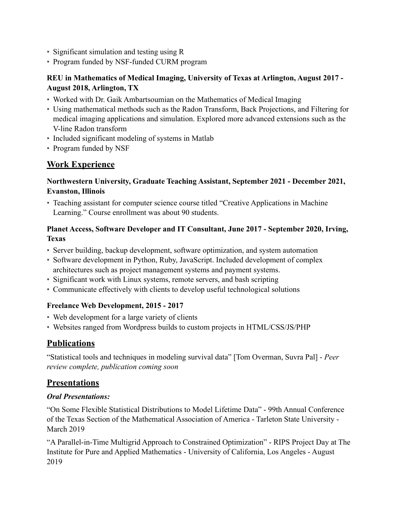- Significant simulation and testing using R
- Program funded by NSF-funded CURM program

### **REU in Mathematics of Medical Imaging, University of Texas at Arlington, August 2017 - August 2018, Arlington, TX**

- Worked with Dr. Gaik Ambartsoumian on the Mathematics of Medical Imaging
- Using mathematical methods such as the Radon Transform, Back Projections, and Filtering for medical imaging applications and simulation. Explored more advanced extensions such as the V-line Radon transform
- Included significant modeling of systems in Matlab
- Program funded by NSF

# **Work Experience**

#### **Northwestern University, Graduate Teaching Assistant, September 2021 - December 2021, Evanston, Illinois**

• Teaching assistant for computer science course titled "Creative Applications in Machine Learning." Course enrollment was about 90 students.

### **Planet Access, Software Developer and IT Consultant, June 2017 - September 2020, Irving, Texas**

- Server building, backup development, software optimization, and system automation
- Software development in Python, Ruby, JavaScript. Included development of complex architectures such as project management systems and payment systems.
- Significant work with Linux systems, remote servers, and bash scripting
- Communicate effectively with clients to develop useful technological solutions

### **Freelance Web Development, 2015 - 2017**

- Web development for a large variety of clients
- Websites ranged from Wordpress builds to custom projects in HTML/CSS/JS/PHP

# **Publications**

"Statistical tools and techniques in modeling survival data" [Tom Overman, Suvra Pal] - *Peer review complete, publication coming soon*

# **Presentations**

#### *Oral Presentations:*

"On Some Flexible Statistical Distributions to Model Lifetime Data" - 99th Annual Conference of the Texas Section of the Mathematical Association of America - Tarleton State University - March 2019

"A Parallel-in-Time Multigrid Approach to Constrained Optimization" - RIPS Project Day at The Institute for Pure and Applied Mathematics - University of California, Los Angeles - August 2019